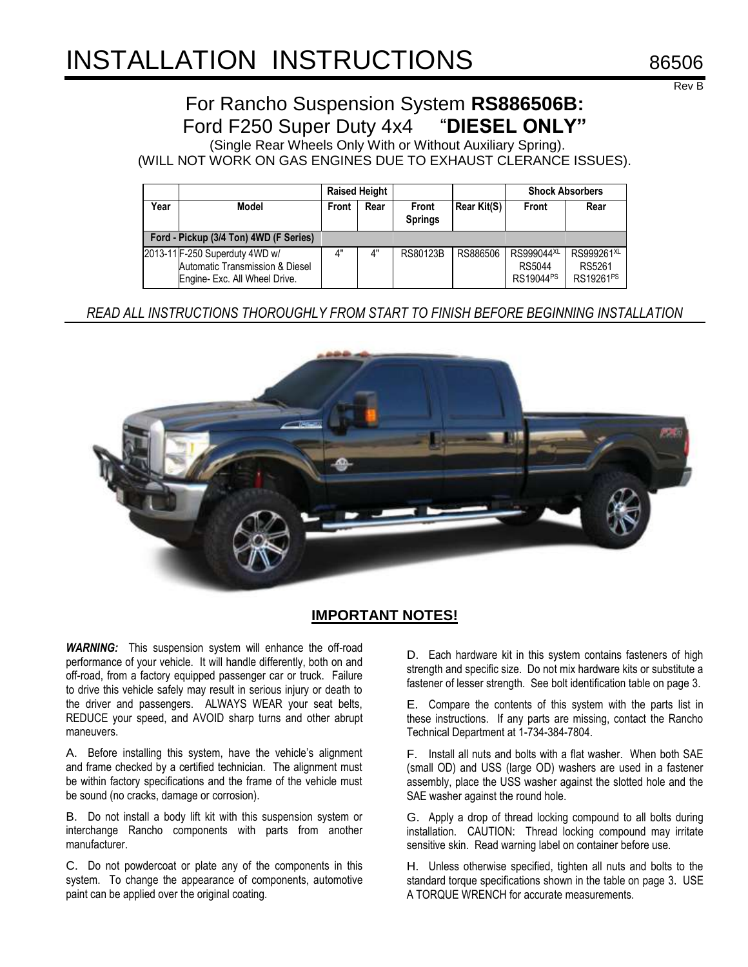# INSTALLATION INSTRUCTIONS 86506

Rev B

# For Rancho Suspension System **RS886506B:** Ford F250 Super Duty 4x4 "**DIESEL ONLY"**

(Single Rear Wheels Only With or Without Auxiliary Spring). (WILL NOT WORK ON GAS ENGINES DUE TO EXHAUST CLERANCE ISSUES).

|                                        |                                                                                                    | <b>Raised Height</b> |      |                         |             | <b>Shock Absorbers</b>                        |                                                           |
|----------------------------------------|----------------------------------------------------------------------------------------------------|----------------------|------|-------------------------|-------------|-----------------------------------------------|-----------------------------------------------------------|
| Year                                   | Model                                                                                              | Front                | Rear | Front<br><b>Springs</b> | Rear Kit(S) | Front                                         | Rear                                                      |
| Ford - Pickup (3/4 Ton) 4WD (F Series) |                                                                                                    |                      |      |                         |             |                                               |                                                           |
|                                        | 2013-11 F-250 Superduty 4WD w/<br>Automatic Transmission & Diesel<br>Engine- Exc. All Wheel Drive. | 4"                   | 4"   | RS80123B                | RS886506    | RS999044XL<br>RS5044<br>RS19044 <sup>PS</sup> | RS999261 <sup>XL</sup><br>RS5261<br>RS19261 <sup>PS</sup> |

*READ ALL INSTRUCTIONS THOROUGHLY FROM START TO FINISH BEFORE BEGINNING INSTALLATION*



## **IMPORTANT NOTES!**

*WARNING:* This suspension system will enhance the off-road performance of your vehicle. It will handle differently, both on and off-road, from a factory equipped passenger car or truck. Failure to drive this vehicle safely may result in serious injury or death to the driver and passengers. ALWAYS WEAR your seat belts, REDUCE your speed, and AVOID sharp turns and other abrupt maneuvers.

A. Before installing this system, have the vehicle's alignment and frame checked by a certified technician. The alignment must be within factory specifications and the frame of the vehicle must be sound (no cracks, damage or corrosion).

B. Do not install a body lift kit with this suspension system or interchange Rancho components with parts from another manufacturer.

C. Do not powdercoat or plate any of the components in this system. To change the appearance of components, automotive paint can be applied over the original coating.

D. Each hardware kit in this system contains fasteners of high strength and specific size. Do not mix hardware kits or substitute a fastener of lesser strength. See bolt identification table on page 3.

E. Compare the contents of this system with the parts list in these instructions. If any parts are missing, contact the Rancho Technical Department at 1-734-384-7804.

F. Install all nuts and bolts with a flat washer. When both SAE (small OD) and USS (large OD) washers are used in a fastener assembly, place the USS washer against the slotted hole and the SAE washer against the round hole.

G. Apply a drop of thread locking compound to all bolts during installation. CAUTION: Thread locking compound may irritate sensitive skin. Read warning label on container before use.

H. Unless otherwise specified, tighten all nuts and bolts to the standard torque specifications shown in the table on page 3. USE A TORQUE WRENCH for accurate measurements.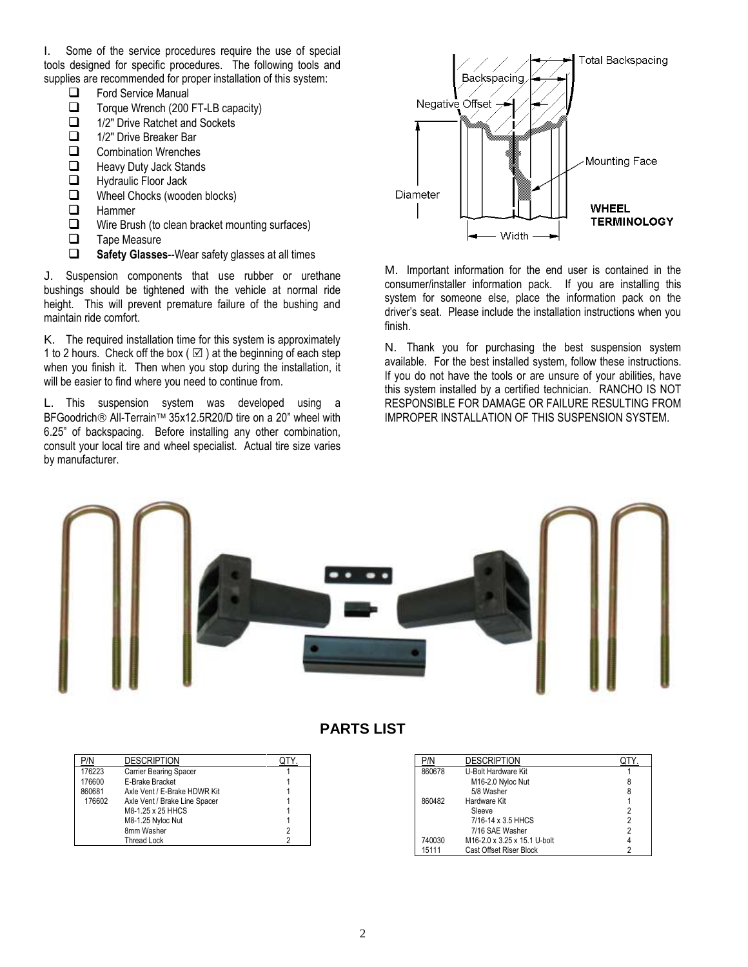I. Some of the service procedures require the use of special tools designed for specific procedures. The following tools and supplies are recommended for proper installation of this system:

- $\Box$  Ford Service Manual<br> $\Box$  Torque Wrench (200
- $\Box$  Torque Wrench (200 FT-LB capacity)<br> $\Box$  1/2" Drive Ratchet and Sockets
- 1/2" Drive Ratchet and Sockets
- □ 1/2" Drive Breaker Bar
- **Q** Combination Wrenches
- $\Box$  Heavy Duty Jack Stands<br> $\Box$  Hydraulic Floor Jack
- $\Box$  Hydraulic Floor Jack<br> $\Box$  Wheel Chocks (wood
- $\Box$  Wheel Chocks (wooden blocks)<br> $\Box$  Hammer
- $\Box$  Hammer<br> $\Box$  Wire Brus
- Wire Brush (to clean bracket mounting surfaces)
- $\Box$  Tape Measure
- **Safety Glasses**--Wear safety glasses at all times

J. Suspension components that use rubber or urethane bushings should be tightened with the vehicle at normal ride height. This will prevent premature failure of the bushing and maintain ride comfort.

K. The required installation time for this system is approximately 1 to 2 hours. Check off the box ( $\boxtimes$ ) at the beginning of each step when you finish it. Then when you stop during the installation, it will be easier to find where you need to continue from.

L. This suspension system was developed using a BFGoodrich® All-Terrain<sup>™</sup> 35x12.5R20/D tire on a 20" wheel with 6.25" of backspacing. Before installing any other combination, consult your local tire and wheel specialist. Actual tire size varies by manufacturer.



M. Important information for the end user is contained in the consumer/installer information pack. If you are installing this system for someone else, place the information pack on the driver's seat. Please include the installation instructions when you finish.

N. Thank you for purchasing the best suspension system available. For the best installed system, follow these instructions. If you do not have the tools or are unsure of your abilities, have this system installed by a certified technician. RANCHO IS NOT RESPONSIBLE FOR DAMAGE OR FAILURE RESULTING FROM IMPROPER INSTALLATION OF THIS SUSPENSION SYSTEM.



## **PARTS LIST**

| P/N    | <b>DESCRIPTION</b>            | QTY |
|--------|-------------------------------|-----|
| 176223 | Carrier Bearing Spacer        |     |
| 176600 | E-Brake Bracket               |     |
| 860681 | Axle Vent / E-Brake HDWR Kit  |     |
| 176602 | Axle Vent / Brake Line Spacer |     |
|        | M8-1.25 x 25 HHCS             |     |
|        | M8-1.25 Nyloc Nut             |     |
|        | 8mm Washer                    |     |
|        | <b>Thread Lock</b>            |     |

| P/N    | <b>DESCRIPTION</b>           |   |
|--------|------------------------------|---|
| 860678 | U-Bolt Hardware Kit          |   |
|        | M16-2.0 Nyloc Nut            |   |
|        | 5/8 Washer                   | 8 |
| 860482 | Hardware Kit                 |   |
|        | Sleeve                       | 2 |
|        | 7/16-14 x 3.5 HHCS           | 2 |
|        | 7/16 SAE Washer              | 2 |
| 740030 | M16-2.0 x 3.25 x 15.1 U-bolt |   |
| 15111  | Cast Offset Riser Block      |   |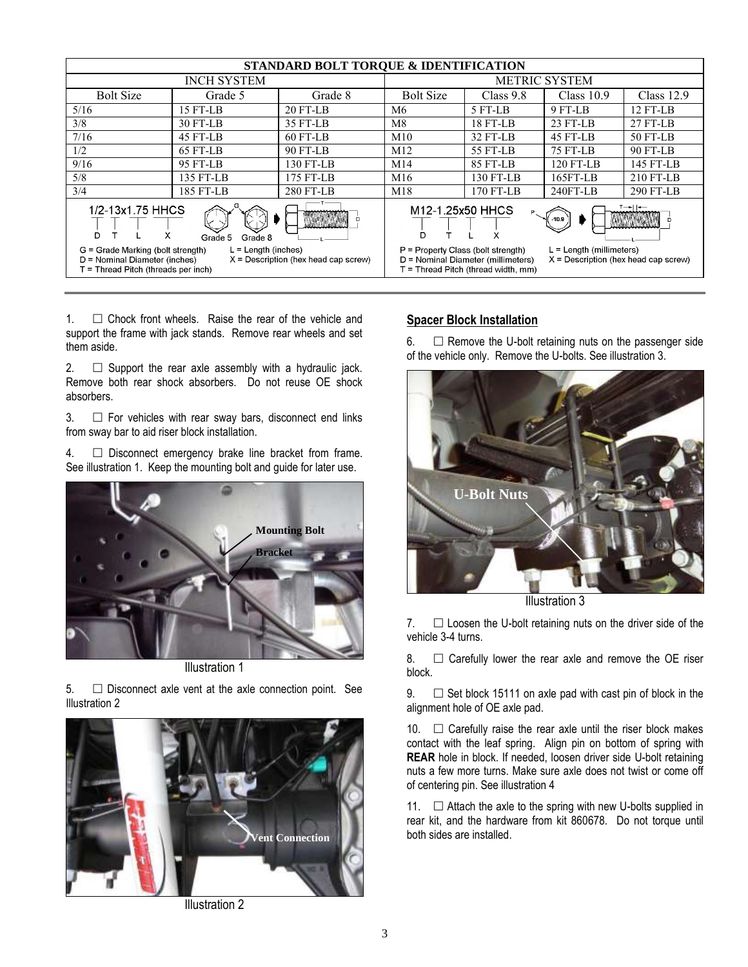| STANDARD BOLT TORQUE & IDENTIFICATION                                                                                                                                                     |                                     |            |                  |                                                                                                                                                                                                 |              |              |  |
|-------------------------------------------------------------------------------------------------------------------------------------------------------------------------------------------|-------------------------------------|------------|------------------|-------------------------------------------------------------------------------------------------------------------------------------------------------------------------------------------------|--------------|--------------|--|
|                                                                                                                                                                                           | <b>METRIC SYSTEM</b>                |            |                  |                                                                                                                                                                                                 |              |              |  |
| <b>Bolt Size</b>                                                                                                                                                                          | Grade 5                             | Grade 8    | <b>Bolt Size</b> | Class $9.8$                                                                                                                                                                                     | Class $10.9$ | Class $12.9$ |  |
| 5/16                                                                                                                                                                                      | 15 FT-LB                            | $20$ FT-LB | M6               | 5 FT-LB                                                                                                                                                                                         | 9 FT-LB      | $12$ FT-LB   |  |
| 3/8                                                                                                                                                                                       | 30 FT-LB                            | 35 FT-LB   | M8               | 18 FT-LB                                                                                                                                                                                        | $23$ FT-LB   | $27$ FT-LB   |  |
| 7/16                                                                                                                                                                                      | 45 FT-LB                            | 60 FT-LB   | M10              | 32 FT-LB                                                                                                                                                                                        | 45 FT-LB     | 50 FT-LB     |  |
| 1/2                                                                                                                                                                                       | 65 FT-LB                            | 90 FT-LB   | M12              | 55 FT-LB                                                                                                                                                                                        | 75 FT-LB     | 90 FT-LB     |  |
| 9/16                                                                                                                                                                                      | 95 FT-LB                            | 130 FT-LB  | M14              | 85 FT-LB                                                                                                                                                                                        | 120 FT-LB    | 145 FT-LB    |  |
| 5/8                                                                                                                                                                                       | 135 FT-LB                           | 175 FT-LB  | M16              | 130 FT-LB                                                                                                                                                                                       | $165FT-LB$   | 210 FT-LB    |  |
| 3/4                                                                                                                                                                                       | 185 FT-LB                           | 280 FT-LB  | M18              | 170 FT-LB                                                                                                                                                                                       | $240FT-LB$   | 290 FT-LB    |  |
| 1/2-13x1.75 HHCS<br>x<br>D<br>Grade 8<br>Grade 5<br>$L =$ Length (inches)<br>G = Grade Marking (bolt strength)<br>D = Nominal Diameter (inches)<br>$X =$ Description (hex head cap screw) |                                     |            |                  | т—⊷ ∣⊷—<br>M12-1.25x50 HHCS<br>$-10.9$<br>Χ<br>P = Property Class (bolt strength)<br>$L =$ Length (millimeters)<br>D = Nominal Diameter (millimeters)<br>$X =$ Description (hex head cap screw) |              |              |  |
| T = Thread Pitch (threads per inch)                                                                                                                                                       | F = Thread Pitch (thread width, mm) |            |                  |                                                                                                                                                                                                 |              |              |  |

1.  $\Box$  Chock front wheels. Raise the rear of the vehicle and support the frame with jack stands. Remove rear wheels and set them aside.

2.  $\Box$  Support the rear axle assembly with a hydraulic jack. Remove both rear shock absorbers. Do not reuse OE shock absorbers.

 $3.$   $\Box$  For vehicles with rear sway bars, disconnect end links from sway bar to aid riser block installation.

4.  $\Box$  Disconnect emergency brake line bracket from frame. See illustration 1. Keep the mounting bolt and guide for later use.



Illustration 1

 $5.$   $\Box$  Disconnect axle vent at the axle connection point. See Illustration 2



Illustration 2

#### **Spacer Block Installation**

6.  $\Box$  Remove the U-bolt retaining nuts on the passenger side of the vehicle only. Remove the U-bolts. See illustration 3.



Illustration 3

7.  $\Box$  Loosen the U-bolt retaining nuts on the driver side of the vehicle 3-4 turns.

8.  $\Box$  Carefully lower the rear axle and remove the OE riser block.

9.  $\Box$  Set block 15111 on axle pad with cast pin of block in the alignment hole of OE axle pad.

10.  $\Box$  Carefully raise the rear axle until the riser block makes contact with the leaf spring. Align pin on bottom of spring with **REAR** hole in block. If needed, loosen driver side U-bolt retaining nuts a few more turns. Make sure axle does not twist or come off of centering pin. See illustration 4

11.  $\Box$  Attach the axle to the spring with new U-bolts supplied in rear kit, and the hardware from kit 860678. Do not torque until both sides are installed.